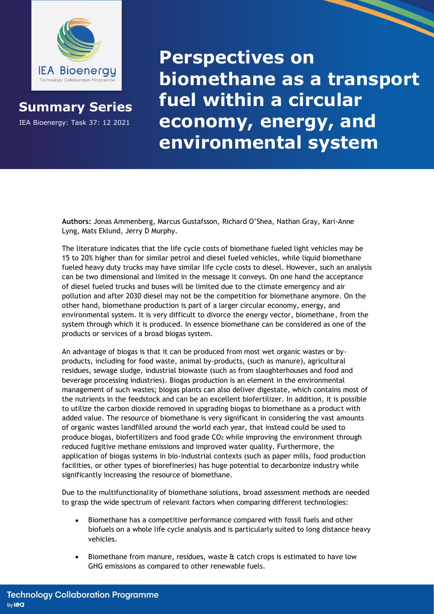

**Summary Series**

IEA Bioenergy: Task 37: 12 2021

**Perspectives on biomethane as a transport fuel within a circular economy, energy, and environmental system**

**Authors:** Jonas Ammenberg, Marcus Gustafsson, Richard O'Shea, Nathan Gray, Kari-Anne Lyng, Mats Eklund, Jerry D Murphy.

The literature indicates that the life cycle costs of biomethane fueled light vehicles may be 15 to 20% higher than for similar petrol and diesel fueled vehicles, while liquid biomethane fueled heavy duty trucks may have similar life cycle costs to diesel. However, such an analysis can be two dimensional and limited in the message it conveys. On one hand the acceptance of diesel fueled trucks and buses will be limited due to the climate emergency and air pollution and after 2030 diesel may not be the competition for biomethane anymore. On the other hand, biomethane production is part of a larger circular economy, energy, and environmental system. It is very difficult to divorce the energy vector, biomethane, from the system through which it is produced. In essence biomethane can be considered as one of the products or services of a broad biogas system.

An advantage of biogas is that it can be produced from most wet organic wastes or byproducts, including for food waste, animal by-products, (such as manure), agricultural residues, sewage sludge, industrial biowaste (such as from slaughterhouses and food and beverage processing industries). Biogas production is an element in the environmental management of such wastes; biogas plants can also deliver digestate, which contains most of the nutrients in the feedstock and can be an excellent biofertilizer. In addition, it is possible to utilize the carbon dioxide removed in upgrading biogas to biomethane as a product with added value. The resource of biomethane is very significant in considering the vast amounts of organic wastes landfilled around the world each year, that instead could be used to produce biogas, biofertilizers and food grade CO<sub>2</sub> while improving the environment through reduced fugitive methane emissions and improved water quality. Furthermore, the application of biogas systems in bio-industrial contexts (such as paper mills, food production facilities, or other types of biorefineries) has huge potential to decarbonize industry while significantly increasing the resource of biomethane.

Due to the multifunctionality of biomethane solutions, broad assessment methods are needed to grasp the wide spectrum of relevant factors when comparing different technologies:

- Biomethane has a competitive performance compared with fossil fuels and other biofuels on a whole life cycle analysis and is particularly suited to long distance heavy vehicles.
- Biomethane from manure, residues, waste & catch crops is estimated to have low GHG emissions as compared to other renewable fuels.